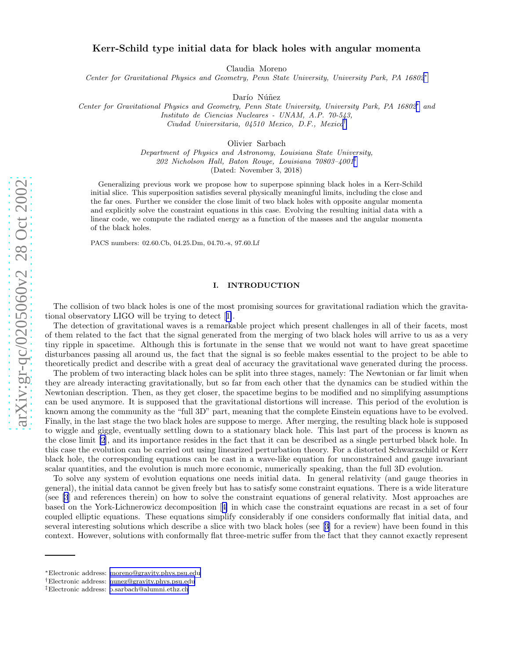# Kerr-Schild type initial data for black holes with angular momenta

Claudia Moreno

*Center for Gravitational Physics and Geometry, Penn State University, University Park, PA 16802* ∗

Darío Núñez

*Center for Gravitational Physics and Geometry, Penn State University, University Park, PA 16802* ∗ *and Instituto de Ciencias Nucleares - UNAM, A.P. 70-543, Ciudad Universitaria, 04510 Mexico, D.F., Mexico* †

Olivier Sarbach

*Department of Physics and Astronomy, Louisiana State University, 202 Nicholson Hall, Baton Rouge, Louisiana 70803–4001* ‡ (Dated: November 3, 2018)

Generalizing previous work we propose how to superpose spinning black holes in a Kerr-Schild initial slice. This superposition satisfies several physically meaningful limits, including the close and the far ones. Further we consider the close limit of two black holes with opposite angular momenta and explicitly solve the constraint equations in this case. Evolving the resulting initial data with a linear code, we compute the radiated energy as a function of the masses and the angular momenta of the black holes.

PACS numbers: 02.60.Cb, 04.25.Dm, 04.70.-s, 97.60.Lf

#### I. INTRODUCTION

The collision of two black holes is one of the most promising sources for gravitational radiation which the gravitational observatory LIGO will be trying to detect[[1\]](#page-12-0).

The detection of gravitational waves is a remarkable project which present challenges in all of their facets, most of them related to the fact that the signal generated from the merging of two black holes will arrive to us as a very tiny ripple in spacetime. Although this is fortunate in the sense that we would not want to have great spacetime disturbances passing all around us, the fact that the signal is so feeble makes essential to the project to be able to theoretically predict and describe with a great deal of accuracy the gravitational wave generated during the process.

The problem of two interacting black holes can be split into three stages, namely: The Newtonian or far limit when they are already interacting gravitationally, but so far from each other that the dynamics can be studied within the Newtonian description. Then, as they get closer, the spacetime begins to be modified and no simplifying assumptions can be used anymore. It is supposed that the gravitational distortions will increase. This period of the evolution is known among the community as the "full 3D" part, meaning that the complete Einstein equations have to be evolved. Finally, in the last stage the two black holes are suppose to merge. After merging, the resulting black hole is supposed to wiggle and giggle, eventually settling down to a stationary black hole. This last part of the process is known as the close limit [\[2](#page-12-0)], and its importance resides in the fact that it can be described as a single perturbed black hole. In this case the evolution can be carried out using linearized perturbation theory. For a distorted Schwarzschild or Kerr black hole, the corresponding equations can be cast in a wave-like equation for unconstrained and gauge invariant scalar quantities, and the evolution is much more economic, numerically speaking, than the full 3D evolution.

To solve any system of evolution equations one needs initial data. In general relativity (and gauge theories in general), the initial data cannot be given freely but has to satisfy some constraint equations. There is a wide literature (see [\[3](#page-12-0)] and references therein) on how to solve the constraint equations of general relativity. Most approaches are based on the York-Lichnerowicz decomposition[[4\]](#page-12-0) in which case the constraint equations are recast in a set of four coupled elliptic equations. These equations simplify considerably if one considers conformally flat initial data, and several interesting solutions which describe a slice with two black holes (see[[3\]](#page-12-0) for a review) have been found in this context. However, solutions with conformally flat three-metric suffer from the fact that they cannot exactly represent

<sup>∗</sup>Electronic address: [moreno@gravity.phys.psu.edu](mailto:moreno@gravity.phys.psu.edu)

<sup>†</sup>Electronic address: [nunez@gravity.phys.psu.edu](mailto:nunez@gravity.phys.psu.edu)

<sup>‡</sup>Electronic address: [o.sarbach@alumni.ethz.ch](mailto:o.sarbach@alumni.ethz.ch)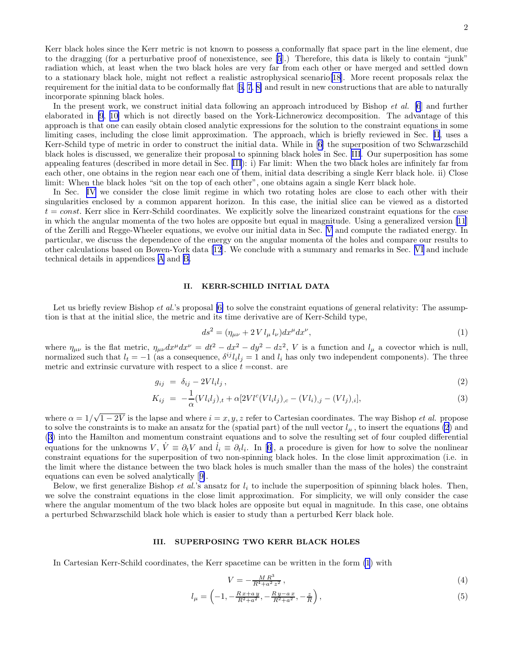2

<span id="page-1-0"></span>Kerr black holes since the Kerr metric is not known to possess a conformally flat space part in the line element, due to the dragging (for a perturbative proof of nonexistence, see [\[5](#page-12-0)].) Therefore, this data is likely to contain "junk" radiation which, at least when the two black holes are very far from each other or have merged and settled down to a stationary black hole, might not reflect a realistic astrophysical scenario[\[18](#page-12-0)]. More recent proposals relax the requirementfor the initial data to be conformally flat  $[6, 7, 8]$  $[6, 7, 8]$  $[6, 7, 8]$  $[6, 7, 8]$  and result in new constructions that are able to naturally incorporate spinning black holes.

In the present work, we construct initial data following an approach introduced by Bishop *et al.* [\[6](#page-12-0)] and further elaborated in [\[9](#page-12-0), [10\]](#page-12-0) which is not directly based on the York-Lichnerowicz decomposition. The advantage of this approach is that one can easily obtain closed analytic expressions for the solution to the constraint equations in some limiting cases, including the close limit approximation. The approach, which is briefly reviewed in Sec. II, uses a Kerr-Schild type of metric in order to construct the initial data. While in [\[6\]](#page-12-0) the superposition of two Schwarzschild black holes is discussed, we generalize their proposal to spinning black holes in Sec. III. Our superposition has some appealing features (described in more detail in Sec. III): i) Far limit: When the two black holes are infinitely far from each other, one obtains in the region near each one of them, initial data describing a single Kerr black hole. ii) Close limit: When the black holes "sit on the top of each other", one obtains again a single Kerr black hole.

In Sec. [IV](#page-4-0) we consider the close limit regime in which two rotating holes are close to each other with their singularities enclosed by a common apparent horizon. In this case, the initial slice can be viewed as a distorted  $t = const.$  Kerr slice in Kerr-Schild coordinates. We explicitly solve the linearized constraint equations for the case in which the angular momenta of the two holes are opposite but equal in magnitude. Using a generalized version [\[11](#page-12-0)] of the Zerilli and Regge-Wheeler equations, we evolve our initial data in Sec. [V](#page-7-0) and compute the radiated energy. In particular, we discuss the dependence of the energy on the angular momenta of the holes and compare our results to other calculations based on Bowen-York data [\[12](#page-12-0)]. We conclude with a summary and remarks in Sec. [VI](#page-9-0) and include technical details in appendices [A](#page-10-0) and [B.](#page-11-0)

#### II. KERR-SCHILD INITIAL DATA

Let us briefly review Bishop *et al.*'s proposal [\[6\]](#page-12-0) to solve the constraint equations of general relativity: The assumption is that at the initial slice, the metric and its time derivative are of Kerr-Schild type,

$$
ds^{2} = (\eta_{\mu\nu} + 2 V l_{\mu} l_{\nu}) dx^{\mu} dx^{\nu}, \qquad (1)
$$

where  $\eta_{\mu\nu}$  is the flat metric,  $\eta_{\mu\nu}dx^{\mu}dx^{\nu} = dt^2 - dx^2 - dy^2 - dz^2$ , V is a function and  $l_{\mu}$  a covector which is null, normalized such that  $l_t = -1$  (as a consequence,  $\delta^{ij} l_i l_j = 1$  and  $l_i$  has only two independent components). The three metric and extrinsic curvature with respect to a slice  $t = \text{const.}$  are

$$
g_{ij} = \delta_{ij} - 2V l_i l_j, \qquad (2)
$$

$$
K_{ij} = -\frac{1}{\alpha}(Vl_i l_j)_{,t} + \alpha [2Vl^c(Vl_i l_j)_{,c} - (Vl_i)_{,j} - (Vl_j)_{,i}], \qquad (3)
$$

where  $\alpha = 1/\sqrt{1-2V}$  is the lapse and where  $i = x, y, z$  refer to Cartesian coordinates. The way Bishop *et al.* propose to solve the constraints is to make an ansatz for the (spatial part) of the null vector  $l_{\mu}$ , to insert the equations (2) and (3) into the Hamilton and momentum constraint equations and to solve the resulting set of four coupled differential equationsfor the unknowns V,  $V = \partial_t V$  and  $i_i \equiv \partial_t l_i$ . In [[6\]](#page-12-0), a procedure is given for how to solve the nonlinear constraint equations for the superposition of two non-spinning black holes. In the close limit approximation (i.e. in the limit where the distance between the two black holes is much smaller than the mass of the holes) the constraint equations can even be solved analytically[[9\]](#page-12-0).

Below, we first generalize Bishop *et al.*'s ansatz for  $l_i$  to include the superposition of spinning black holes. Then, we solve the constraint equations in the close limit approximation. For simplicity, we will only consider the case where the angular momentum of the two black holes are opposite but equal in magnitude. In this case, one obtains a perturbed Schwarzschild black hole which is easier to study than a perturbed Kerr black hole.

### III. SUPERPOSING TWO KERR BLACK HOLES

In Cartesian Kerr-Schild coordinates, the Kerr spacetime can be written in the form (1) with

$$
V = -\frac{MR^3}{R^4 + a^2 z^2},\tag{4}
$$

$$
l_{\mu} = \left(-1, -\frac{R x + a y}{R^2 + a^2}, -\frac{R y - a x}{R^2 + a^2}, -\frac{z}{R}\right),\tag{5}
$$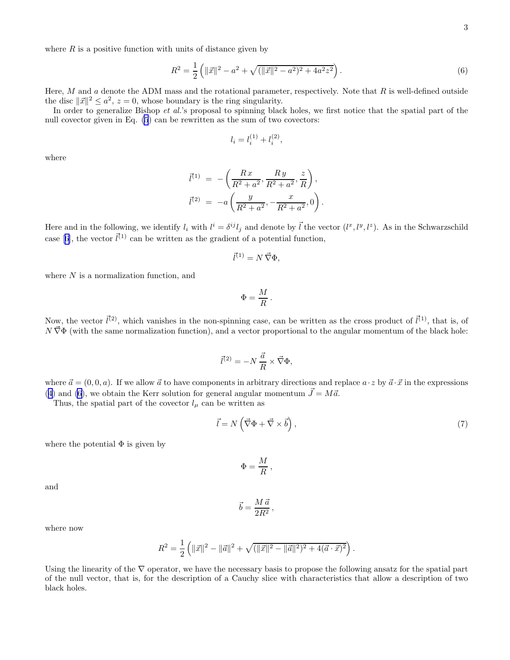<span id="page-2-0"></span>where  $R$  is a positive function with units of distance given by

$$
R^{2} = \frac{1}{2} \left( ||\vec{x}||^{2} - a^{2} + \sqrt{(||\vec{x}||^{2} - a^{2})^{2} + 4a^{2}z^{2}} \right).
$$
\n(6)

Here,  $M$  and  $a$  denote the ADM mass and the rotational parameter, respectively. Note that  $R$  is well-defined outside the disc  $||\vec{x}||^2 \le a^2$ ,  $z = 0$ , whose boundary is the ring singularity.

In order to generalize Bishop et al.'s proposal to spinning black holes, we first notice that the spatial part of the null covector given in Eq. [\(5](#page-1-0)) can be rewritten as the sum of two covectors:

$$
l_i = l_i^{(1)} + l_i^{(2)},
$$

where

$$
\vec{l}^{(1)} = -\left(\frac{Rx}{R^2 + a^2}, \frac{Ry}{R^2 + a^2}, \frac{z}{R}\right),
$$
  

$$
\vec{l}^{(2)} = -a\left(\frac{y}{R^2 + a^2}, -\frac{x}{R^2 + a^2}, 0\right).
$$

Here and in the following, we identify  $l_i$  with  $l^i = \delta^{ij} l_j$  and denote by  $\vec{l}$  the vector  $(l^x, l^y, l^z)$ . As in the Schwarzschild case[[6\]](#page-12-0), the vector  $\vec{l}^{(1)}$  can be written as the gradient of a potential function,

$$
\vec{l}^{(1)} = N \vec{\nabla} \Phi,
$$

where  $N$  is a normalization function, and

$$
\Phi = \frac{M}{R} \, .
$$

Now, the vector  $\vec{l}^{(2)}$ , which vanishes in the non-spinning case, can be written as the cross product of  $\vec{l}^{(1)}$ , that is, of  $N \vec{\nabla} \Phi$  (with the same normalization function), and a vector proportional to the angular momentum of the black hole:

$$
\vec{l}^{(2)} = -N \, \frac{\vec{a}}{R} \times \vec{\nabla} \Phi,
$$

where  $\vec{a} = (0, 0, a)$ . If we allow  $\vec{a}$  to have components in arbitrary directions and replace  $a \cdot z$  by  $\vec{a} \cdot \vec{x}$  in the expressions ([4\)](#page-1-0) and (6), we obtain the Kerr solution for general angular momentum  $\vec{J} = M\vec{a}$ .

Thus, the spatial part of the covector  $l_{\mu}$  can be written as

$$
\vec{l} = N\left(\vec{\nabla}\Phi + \vec{\nabla}\times\vec{b}\right),\tag{7}
$$

.

where the potential  $\Phi$  is given by

$$
\Phi = \frac{M}{R} \,,
$$

and

$$
\vec{b} = \frac{M \, \vec{a}}{2R^2} \,,
$$

where now

$$
R^{2} = \frac{1}{2} \left( ||\vec{x}||^{2} - ||\vec{a}||^{2} + \sqrt{(||\vec{x}||^{2} - ||\vec{a}||^{2})^{2} + 4(\vec{a} \cdot \vec{x})^{2}} \right)
$$

Using the linearity of the  $\nabla$  operator, we have the necessary basis to propose the following ansatz for the spatial part of the null vector, that is, for the description of a Cauchy slice with characteristics that allow a description of two black holes.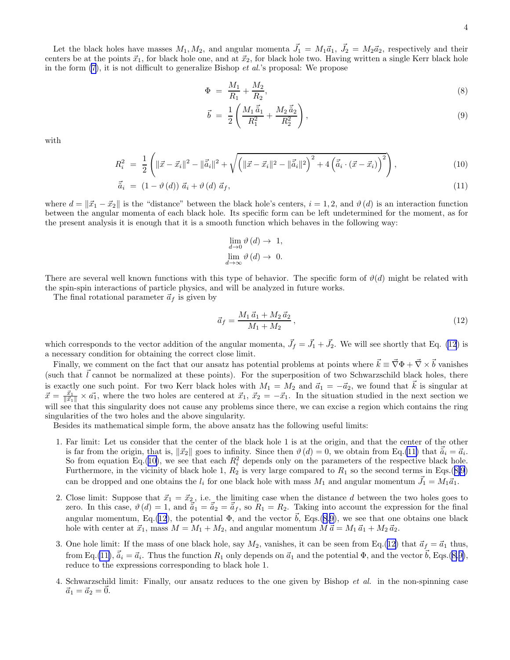<span id="page-3-0"></span>Let the black holes have masses  $M_1, M_2$ , and angular momenta  $\vec{J}_1 = M_1 \vec{a}_1$ ,  $\vec{J}_2 = M_2 \vec{a}_2$ , respectively and their centers be at the points  $\vec{x}_1$ , for black hole one, and at  $\vec{x}_2$ , for black hole two. Having written a single Kerr black hole in the form  $(7)$ , it is not difficult to generalize Bishop *et al.*'s proposal: We propose

$$
\Phi = \frac{M_1}{R_1} + \frac{M_2}{R_2},\tag{8}
$$

$$
\vec{b} = \frac{1}{2} \left( \frac{M_1 \vec{a}_1}{R_1^2} + \frac{M_2 \vec{a}_2}{R_2^2} \right),
$$
\n(9)

with

$$
R_i^2 = \frac{1}{2} \left( \|\vec{x} - \vec{x}_i\|^2 - \|\vec{\tilde{a}}_i\|^2 + \sqrt{\left( \|\vec{x} - \vec{x}_i\|^2 - \|\vec{\tilde{a}}_i\|^2 \right)^2 + 4 \left( \vec{\tilde{a}}_i \cdot (\vec{x} - \vec{x}_i) \right)^2} \right),\tag{10}
$$

$$
\vec{\tilde{a}}_i = (1 - \vartheta(d)) \vec{a}_i + \vartheta(d) \vec{a}_f,
$$
\n(11)

where  $d = ||\vec{x}_1 - \vec{x}_2||$  is the "distance" between the black hole's centers,  $i = 1, 2$ , and  $\vartheta(d)$  is an interaction function between the angular momenta of each black hole. Its specific form can be left undetermined for the moment, as for the present analysis it is enough that it is a smooth function which behaves in the following way:

$$
\lim_{d \to 0} \vartheta(d) \to 1,
$$
  

$$
\lim_{d \to \infty} \vartheta(d) \to 0.
$$

There are several well known functions with this type of behavior. The specific form of  $\vartheta(d)$  might be related with the spin-spin interactions of particle physics, and will be analyzed in future works.

The final rotational parameter  $\vec{a}_f$  is given by

$$
\vec{a}_f = \frac{M_1 \,\vec{a}_1 + M_2 \,\vec{a}_2}{M_1 + M_2} \,,\tag{12}
$$

which corresponds to the vector addition of the angular momenta,  $\vec{J}_f = \vec{J}_1 + \vec{J}_2$ . We will see shortly that Eq. (12) is a necessary condition for obtaining the correct close limit.

Finally, we comment on the fact that our ansatz has potential problems at points where  $\vec{k} \equiv \vec{\nabla}\Phi + \vec{\nabla} \times \vec{b}$  vanishes (such that  $\vec{l}$  cannot be normalized at these points). For the superposition of two Schwarzschild black holes, there is exactly one such point. For two Kerr black holes with  $M_1 = M_2$  and  $\vec{a}_1 = -\vec{a}_2$ , we found that  $\vec{k}$  is singular at  $\vec{x} = \frac{\vec{x}_1}{\|\vec{x}_1\|} \times \vec{a_1}$ , where the two holes are centered at  $\vec{x}_1, \vec{x}_2 = -\vec{x}_1$ . In the situation studied in the next section we will see that this singularity does not cause any problems since there, we can excise a region which contains the ring singularities of the two holes and the above singularity.

Besides its mathematical simple form, the above ansatz has the following useful limits:

- 1. Far limit: Let us consider that the center of the black hole 1 is at the origin, and that the center of the other is far from the origin, that is,  $\|\vec{x_2}\|$  goes to infinity. Since then  $\vartheta(d) = 0$ , we obtain from Eq.(11) that  $\vec{a}_i = \vec{a}_i$ . So from equation Eq.(10), we see that each  $R_i^2$  depends only on the parameters of the respective black hole. Furthermore, in the vicinity of black hole 1,  $R_2$  is very large compared to  $R_1$  so the second terms in Eqs.([8,9](#page-2-0)) can be dropped and one obtains the  $l_i$  for one black hole with mass  $M_1$  and angular momentum  $\vec{J}_1 = M_1 \vec{a}_1$ .
- 2. Close limit: Suppose that  $\vec{x}_1 = \vec{x}_2$ , i.e. the limiting case when the distance d between the two holes goes to zero. In this case,  $\vartheta(d) = 1$ , and  $\vec{a}_1 = \vec{a}_2 = \vec{a}_f$ , so  $R_1 = R_2$ . Taking into account the expression for the final angular momentum, Eq.(12), the potential  $\Phi$ , and the vector  $\vec{b}$ , Eqs.[\(8](#page-2-0),[9\)](#page-2-0), we see that one obtains one black hole with center at  $\vec{x}_1$ , mass  $M = M_1 + M_2$ , and angular momentum  $M \vec{a} = M_1 \vec{a}_1 + M_2 \vec{a}_2$ .
- 3. One hole limit: If the mass of one black hole, say  $M_2$ , vanishes, it can be seen from Eq.(12) that  $\vec{a}_f = \vec{a}_1$  thus, from Eq.(11),  $\vec{a}_i = \vec{a}_i$ . Thus the function  $R_1$  only depends on  $\vec{a}_1$  and the potential  $\Phi$ , and the vector  $\vec{b}$ , Eqs.([8,9\)](#page-2-0), reduce to the expressions corresponding to black hole 1.
- 4. Schwarzschild limit: Finally, our ansatz reduces to the one given by Bishop *et al.* in the non-spinning case  $\vec{a}_1 = \vec{a}_2 = 0.$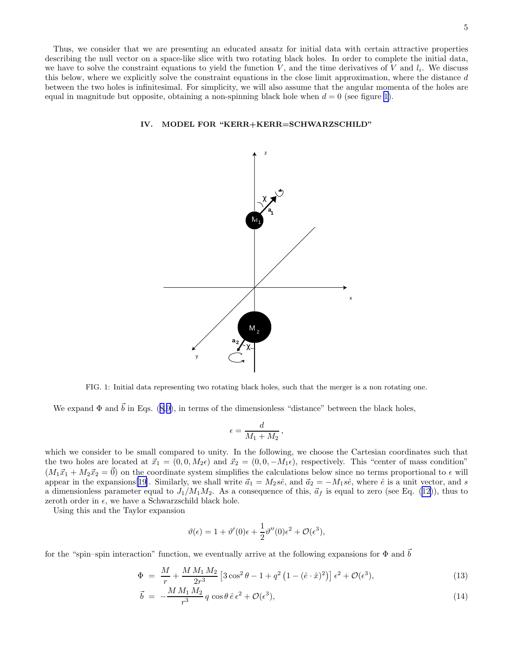<span id="page-4-0"></span>Thus, we consider that we are presenting an educated ansatz for initial data with certain attractive properties describing the null vector on a space-like slice with two rotating black holes. In order to complete the initial data, we have to solve the constraint equations to yield the function  $V$ , and the time derivatives of  $V$  and  $l_i$ . We discuss this below, where we explicitly solve the constraint equations in the close limit approximation, where the distance  $d$ between the two holes is infinitesimal. For simplicity, we will also assume that the angular momenta of the holes are equal in magnitude but opposite, obtaining a non-spinning black hole when  $d = 0$  (see figure 1).

## IV. MODEL FOR "KERR+KERR=SCHWARZSCHILD"



FIG. 1: Initial data representing two rotating black holes, such that the merger is a non rotating one.

Weexpand  $\Phi$  and  $\vec{b}$  in Eqs. ([8,9\)](#page-2-0), in terms of the dimensionless "distance" between the black holes,

$$
\epsilon = \frac{d}{M_1+M_2}\,,
$$

which we consider to be small compared to unity. In the following, we choose the Cartesian coordinates such that the two holes are located at  $\vec{x}_1 = (0, 0, M_2\epsilon)$  and  $\vec{x}_2 = (0, 0, -M_1\epsilon)$ , respectively. This "center of mass condition"  $(M_1\vec{x}_1 + M_2\vec{x}_2 = \vec{0})$  on the coordinate system simplifies the calculations below since no terms proportional to  $\epsilon$  will appear in the expansions [[19\]](#page-12-0). Similarly, we shall write  $\vec{a}_1 = M_2 s\hat{e}$ , and  $\vec{a}_2 = -M_1 s\hat{e}$ , where  $\hat{e}$  is a unit vector, and s adimensionless parameter equal to  $J_1/M_1M_2$ . As a consequence of this,  $\vec{a}_f$  is equal to zero (see Eq. ([12\)](#page-3-0)), thus to zeroth order in  $\epsilon$ , we have a Schwarzschild black hole.

Using this and the Taylor expansion

$$
\vartheta(\epsilon) = 1 + \vartheta'(0)\epsilon + \frac{1}{2}\vartheta''(0)\epsilon^2 + \mathcal{O}(\epsilon^3),
$$

for the "spin–spin interaction" function, we eventually arrive at the following expansions for  $\Phi$  and  $\vec{b}$ 

$$
\Phi = \frac{M}{r} + \frac{M M_1 M_2}{2r^3} \left[ 3 \cos^2 \theta - 1 + q^2 \left( 1 - (\hat{e} \cdot \hat{x})^2 \right) \right] \epsilon^2 + \mathcal{O}(\epsilon^3),\tag{13}
$$

$$
\vec{b} = -\frac{M M_1 M_2}{r^3} q \cos \theta \,\hat{e} \,\epsilon^2 + \mathcal{O}(\epsilon^3),\tag{14}
$$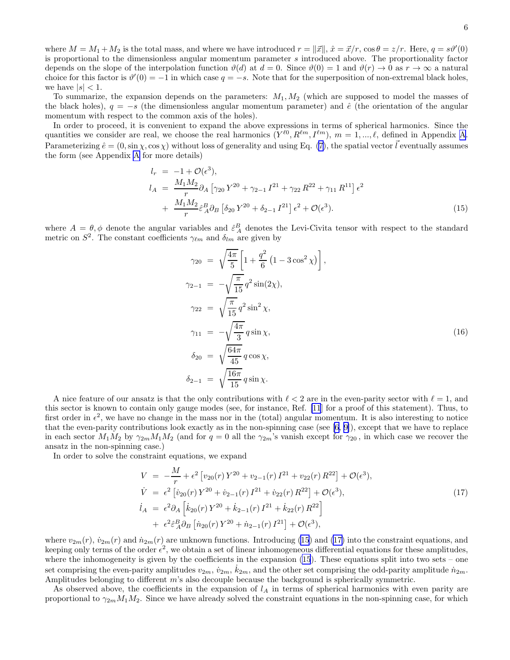<span id="page-5-0"></span>where  $M = M_1 + M_2$  is the total mass, and where we have introduced  $r = ||\vec{x}||$ ,  $\hat{x} = \vec{x}/r$ ,  $\cos \theta = z/r$ . Here,  $q = s\theta'(0)$ is proportional to the dimensionless angular momentum parameter s introduced above. The proportionality factor depends on the slope of the interpolation function  $\vartheta(d)$  at  $d = 0$ . Since  $\vartheta(0) = 1$  and  $\vartheta(r) \to 0$  as  $r \to \infty$  a natural choice for this factor is  $\vartheta'(0) = -1$  in which case  $q = -s$ . Note that for the superposition of non-extremal black holes, we have  $|s| < 1$ .

To summarize, the expansion depends on the parameters:  $M_1, M_2$  (which are supposed to model the masses of the black holes),  $q = -s$  (the dimensionless angular momentum parameter) and  $\hat{e}$  (the orientation of the angular momentum with respect to the common axis of the holes).

In order to proceed, it is convenient to expand the above expressions in terms of spherical harmonics. Since the quantities we consider are real, we choose the real harmonics  $(Y^{\ell 0}, R^{\ell m}, I^{\ell m})$ ,  $m = 1, ..., \ell$ , defined in [A](#page-10-0)ppendix A. Parameterizing  $\hat{e} = (0, \sin \chi, \cos \chi)$  without loss of generality and using Eq. [\(7](#page-2-0)), the spatial vector  $\vec{l}$  eventually assumes the form (see Appendix [A](#page-10-0) for more details)

$$
l_r = -1 + \mathcal{O}(\epsilon^3),
$$
  
\n
$$
l_A = \frac{M_1 M_2}{r} \partial_A \left[ \gamma_{20} Y^{20} + \gamma_{2-1} I^{21} + \gamma_{22} R^{22} + \gamma_{11} R^{11} \right] \epsilon^2
$$
  
\n
$$
+ \frac{M_1 M_2}{r} \hat{\epsilon}_A^B \partial_B \left[ \delta_{20} Y^{20} + \delta_{2-1} I^{21} \right] \epsilon^2 + \mathcal{O}(\epsilon^3).
$$
\n(15)

where  $A = \theta, \phi$  denote the angular variables and  $\hat{\varepsilon}_A^B$  denotes the Levi-Civita tensor with respect to the standard metric on  $S^2$ . The constant coefficients  $\gamma_{\ell m}$  and  $\delta_{lm}$  are given by

$$
\gamma_{20} = \sqrt{\frac{4\pi}{5}} \left[ 1 + \frac{q^2}{6} \left( 1 - 3 \cos^2 \chi \right) \right],
$$
  
\n
$$
\gamma_{2-1} = -\sqrt{\frac{\pi}{15}} q^2 \sin(2\chi),
$$
  
\n
$$
\gamma_{22} = \sqrt{\frac{\pi}{15}} q^2 \sin^2 \chi,
$$
  
\n
$$
\gamma_{11} = -\sqrt{\frac{4\pi}{3}} q \sin \chi,
$$
  
\n
$$
\delta_{20} = \sqrt{\frac{64\pi}{45}} q \cos \chi,
$$
  
\n
$$
\delta_{2-1} = \sqrt{\frac{16\pi}{15}} q \sin \chi.
$$
  
\n(16)

A nice feature of our ansatz is that the only contributions with  $\ell < 2$  are in the even-parity sector with  $\ell = 1$ , and this sector is known to contain only gauge modes (see, for instance, Ref. [\[11](#page-12-0)] for a proof of this statement). Thus, to first order in  $\epsilon^2$ , we have no change in the mass nor in the (total) angular momentum. It is also interesting to notice that the even-parity contributions look exactly as in the non-spinning case (see  $[6, 9]$  $[6, 9]$ ), except that we have to replace in each sector  $M_1M_2$  by  $\gamma_{2m}M_1M_2$  (and for  $q=0$  all the  $\gamma_{2m}$ 's vanish except for  $\gamma_{20}$ , in which case we recover the ansatz in the non-spinning case.)

In order to solve the constraint equations, we expand

$$
V = -\frac{M}{r} + \epsilon^2 \left[ v_{20}(r) Y^{20} + v_{2-1}(r) I^{21} + v_{22}(r) R^{22} \right] + \mathcal{O}(\epsilon^3),
$$
  
\n
$$
\dot{V} = \epsilon^2 \left[ \dot{v}_{20}(r) Y^{20} + \dot{v}_{2-1}(r) I^{21} + \dot{v}_{22}(r) R^{22} \right] + \mathcal{O}(\epsilon^3),
$$
  
\n
$$
\dot{l}_A = \epsilon^2 \partial_A \left[ \dot{k}_{20}(r) Y^{20} + \dot{k}_{2-1}(r) I^{21} + \dot{k}_{22}(r) R^{22} \right]
$$
  
\n
$$
+ \epsilon^2 \hat{\epsilon}_A^B \partial_B \left[ \dot{n}_{20}(r) Y^{20} + \dot{n}_{2-1}(r) I^{21} \right] + \mathcal{O}(\epsilon^3),
$$
\n(17)

where  $v_{2m}(r)$ ,  $\dot{v}_{2m}(r)$  and  $\dot{n}_{2m}(r)$  are unknown functions. Introducing (15) and (17) into the constraint equations, and keeping only terms of the order  $\epsilon^2$ , we obtain a set of linear inhomogeneous differential equations for these amplitudes, where the inhomogeneity is given by the coefficients in the expansion  $(15)$ . These equations split into two sets – one set comprising the even-parity amplitudes  $v_{2m}$ ,  $\dot{v}_{2m}$ ,  $\dot{k}_{2m}$ , and the other set comprising the odd-parity amplitude  $\dot{n}_{2m}$ . Amplitudes belonging to different m's also decouple because the background is spherically symmetric.

As observed above, the coefficients in the expansion of  $l_A$  in terms of spherical harmonics with even parity are proportional to  $\gamma_{2m}M_1M_2$ . Since we have already solved the constraint equations in the non-spinning case, for which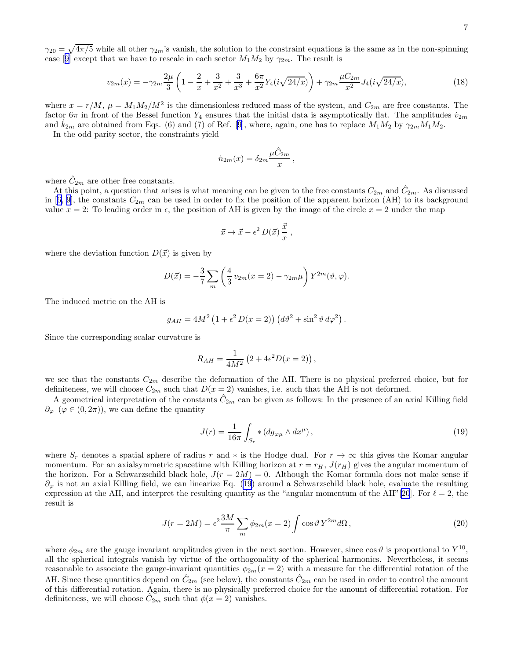<span id="page-6-0"></span> $\gamma_{20} = \sqrt{4\pi/5}$  while all other  $\gamma_{2m}$ 's vanish, the solution to the constraint equations is the same as in the non-spinning case[[9\]](#page-12-0) except that we have to rescale in each sector  $M_1M_2$  by  $\gamma_{2m}$ . The result is

$$
v_{2m}(x) = -\gamma_{2m}\frac{2\mu}{3}\left(1 - \frac{2}{x} + \frac{3}{x^2} + \frac{3}{x^3} + \frac{6\pi}{x^2}Y_4(i\sqrt{24/x})\right) + \gamma_{2m}\frac{\mu C_{2m}}{x^2}J_4(i\sqrt{24/x}),\tag{18}
$$

where  $x = r/M$ ,  $\mu = M_1 M_2/M^2$  is the dimensionless reduced mass of the system, and  $C_{2m}$  are free constants. The factor 6π in front of the Bessel function  $Y_4$  ensures that the initial data is asymptotically flat. The amplitudes  $\dot{v}_{2m}$ and  $k_{2m}$  are obtained from Eqs. (6) and (7) of Ref. [\[9](#page-12-0)], where, again, one has to replace  $M_1M_2$  by  $\gamma_{2m}M_1M_2$ .

In the odd parity sector, the constraints yield

$$
\dot{n}_{2m}(x) = \delta_{2m} \frac{\mu \hat{C}_{2m}}{x},
$$

where  $\hat{C}_{2m}$  are other free constants.

At this point, a question that arises is what meaning can be given to the free constants  $C_{2m}$  and  $\hat{C}_{2m}$ . As discussed in[[6, 9\]](#page-12-0), the constants  $C_{2m}$  can be used in order to fix the position of the apparent horizon (AH) to its background value  $x = 2$ : To leading order in  $\epsilon$ , the position of AH is given by the image of the circle  $x = 2$  under the map

$$
\vec{x} \mapsto \vec{x} - \epsilon^2 D(\vec{x}) \, \frac{\vec{x}}{x} \,,
$$

where the deviation function  $D(\vec{x})$  is given by

$$
D(\vec{x}) = -\frac{3}{7} \sum_{m} \left( \frac{4}{3} v_{2m}(x=2) - \gamma_{2m} \mu \right) Y^{2m}(\vartheta, \varphi).
$$

The induced metric on the AH is

$$
g_{AH} = 4M^2 \left(1 + \epsilon^2 D(x = 2)\right) \left(d\vartheta^2 + \sin^2 \vartheta \, d\varphi^2\right).
$$

Since the corresponding scalar curvature is

$$
R_{AH} = \frac{1}{4M^2} (2 + 4\epsilon^2 D(x = 2)),
$$

we see that the constants  $C_{2m}$  describe the deformation of the AH. There is no physical preferred choice, but for definiteness, we will choose  $C_{2m}$  such that  $D(x = 2)$  vanishes, i.e. such that the AH is not deformed.

A geometrical interpretation of the constants  $\hat{C}_{2m}$  can be given as follows: In the presence of an axial Killing field  $\partial_{\varphi}$  ( $\varphi \in (0, 2\pi)$ ), we can define the quantity

$$
J(r) = \frac{1}{16\pi} \int_{S_r} * (dg_{\varphi\mu} \wedge dx^{\mu}), \qquad (19)
$$

where  $S_r$  denotes a spatial sphere of radius r and  $*$  is the Hodge dual. For  $r \to \infty$  this gives the Komar angular momentum. For an axial symmetric spacetime with Killing horizon at  $r = r_H$ ,  $J(r_H)$  gives the angular momentum of the horizon. For a Schwarzschild black hole,  $J(r = 2M) = 0$ . Although the Komar formula does not make sense if  $\partial_{\varphi}$  is not an axial Killing field, we can linearize Eq. (19) around a Schwarzschild black hole, evaluate the resulting expression at the AH, and interpret the resulting quantity as the "angular momentum of the AH"[\[20](#page-12-0)]. For  $\ell = 2$ , the result is

$$
J(r = 2M) = \epsilon^2 \frac{3M}{\pi} \sum_m \phi_{2m}(x = 2) \int \cos \vartheta Y^{2m} d\Omega, \qquad (20)
$$

where  $\phi_{2m}$  are the gauge invariant amplitudes given in the next section. However, since  $\cos \vartheta$  is proportional to  $Y^{10}$ , all the spherical integrals vanish by virtue of the orthogonality of the spherical harmonics. Nevertheless, it seems reasonable to associate the gauge-invariant quantities  $\phi_{2m}(x=2)$  with a measure for the differential rotation of the AH. Since these quantities depend on  $\hat{C}_{2m}$  (see below), the constants  $\hat{C}_{2m}$  can be used in order to control the amount of this differential rotation. Again, there is no physically preferred choice for the amount of differential rotation. For definiteness, we will choose  $\hat{C}_{2m}$  such that  $\phi(x=2)$  vanishes.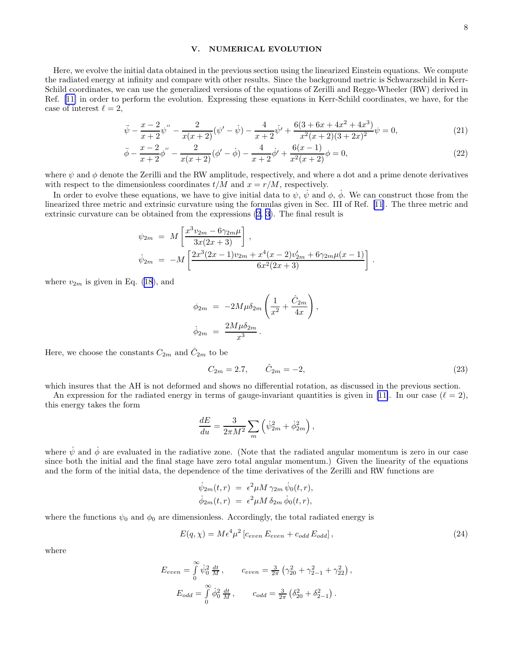#### V. NUMERICAL EVOLUTION

<span id="page-7-0"></span>Here, we evolve the initial data obtained in the previous section using the linearized Einstein equations. We compute the radiated energy at infinity and compare with other results. Since the background metric is Schwarzschild in Kerr-Schild coordinates, we can use the generalized versions of the equations of Zerilli and Regge-Wheeler (RW) derived in Ref. [\[11\]](#page-12-0) in order to perform the evolution. Expressing these equations in Kerr-Schild coordinates, we have, for the case of interest  $\ell = 2$ ,

$$
\ddot{\psi} - \frac{x-2}{x+2}\psi'' - \frac{2}{x(x+2)}(\psi' - \dot{\psi}) - \frac{4}{x+2}\dot{\psi}' + \frac{6(3+6x+4x^2+4x^3)}{x^2(x+2)(3+2x)^2}\psi = 0,
$$
\n(21)

$$
\ddot{\phi} - \frac{x-2}{x+2}\phi'' - \frac{2}{x(x+2)}(\phi' - \dot{\phi}) - \frac{4}{x+2}\dot{\phi}' + \frac{6(x-1)}{x^2(x+2)}\phi = 0,
$$
\n(22)

where  $\psi$  and  $\phi$  denote the Zerilli and the RW amplitude, respectively, and where a dot and a prime denote derivatives with respect to the dimensionless coordinates  $t/M$  and  $x = r/M$ , respectively.

In order to evolve these equations, we have to give initial data to  $\psi$ ,  $\dot{\psi}$  and  $\phi$ ,  $\dot{\phi}$ . We can construct those from the linearized three metric and extrinsic curvature using the formulas given in Sec. III of Ref.[[11\]](#page-12-0). The three metric and extrinsic curvature can be obtained from the expressions [\(2](#page-1-0), [3](#page-1-0)). The final result is

$$
\psi_{2m} = M \left[ \frac{x^3 v_{2m} - 6\gamma_{2m}\mu}{3x(2x+3)} \right],
$$
  
\n
$$
\psi_{2m} = -M \left[ \frac{2x^3(2x-1)v_{2m} + x^4(x-2)v'_{2m} + 6\gamma_{2m}\mu(x-1)}{6x^2(2x+3)} \right].
$$

where  $v_{2m}$  is given in Eq. [\(18](#page-6-0)), and

$$
\phi_{2m} = -2M\mu\delta_{2m}\left(\frac{1}{x^2} + \frac{\hat{C}_{2m}}{4x}\right),
$$
  

$$
\dot{\phi}_{2m} = \frac{2M\mu\delta_{2m}}{x^3}.
$$

Here, we choose the constants  $C_{2m}$  and  $\hat{C}_{2m}$  to be

$$
C_{2m} = 2.7, \qquad \hat{C}_{2m} = -2,\tag{23}
$$

which insures that the AH is not deformed and shows no differential rotation, as discussed in the previous section.

An expression for the radiated energy in terms of gauge-invariant quantities is given in [\[11\]](#page-12-0). In our case  $(\ell = 2)$ , this energy takes the form

$$
\frac{dE}{du} = \frac{3}{2\pi M^2} \sum_m \left( \dot{\psi}_{2m}^2 + \dot{\phi}_{2m}^2 \right),
$$

where  $\dot{\psi}$  and  $\dot{\phi}$  are evaluated in the radiative zone. (Note that the radiated angular momentum is zero in our case since both the initial and the final stage have zero total angular momentum.) Given the linearity of the equations and the form of the initial data, the dependence of the time derivatives of the Zerilli and RW functions are

$$
\psi_{2m}(t,r) = \epsilon^2 \mu M \gamma_{2m} \psi_0(t,r),
$$
  

$$
\dot{\phi}_{2m}(t,r) = \epsilon^2 \mu M \delta_{2m} \dot{\phi}_0(t,r),
$$

where the functions  $\psi_0$  and  $\phi_0$  are dimensionless. Accordingly, the total radiated energy is

$$
E(q, \chi) = M \epsilon^4 \mu^2 \left[ c_{even} \, E_{even} + c_{odd} \, E_{odd} \right], \tag{24}
$$

,

where

$$
E_{even} = \int_{0}^{\infty} \dot{\psi}_0^2 \frac{dt}{M}, \qquad c_{even} = \frac{3}{2\pi} \left( \gamma_{20}^2 + \gamma_{2-1}^2 + \gamma_{22}^2 \right)
$$

$$
E_{odd} = \int_{0}^{\infty} \dot{\phi}_0^2 \frac{dt}{M}, \qquad c_{odd} = \frac{3}{2\pi} \left( \delta_{20}^2 + \delta_{2-1}^2 \right).
$$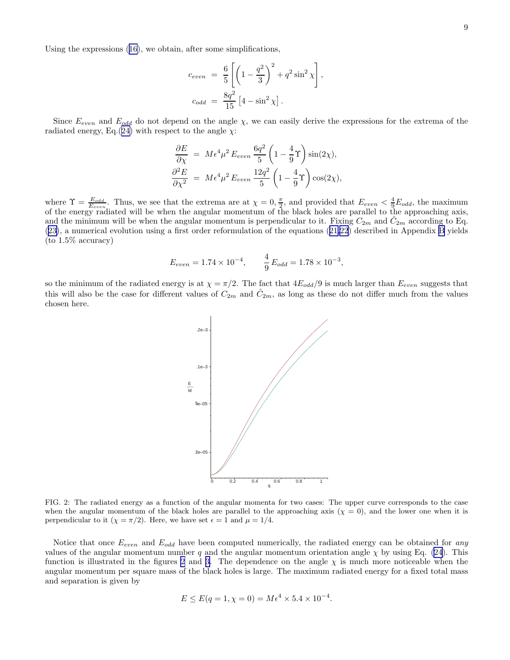Using the expressions([16\)](#page-5-0), we obtain, after some simplifications,

$$
c_{even} = \frac{6}{5} \left[ \left( 1 - \frac{q^2}{3} \right)^2 + q^2 \sin^2 \chi \right],
$$
  

$$
c_{odd} = \frac{8q^2}{15} \left[ 4 - \sin^2 \chi \right].
$$

Since  $E_{even}$  and  $E_{odd}$  do not depend on the angle  $\chi$ , we can easily derive the expressions for the extrema of the radiated energy, Eq.([24\)](#page-7-0) with respect to the angle  $\chi$ :

$$
\frac{\partial E}{\partial \chi} = M \epsilon^4 \mu^2 E_{even} \frac{6q^2}{5} \left( 1 - \frac{4}{9} \Upsilon \right) \sin(2\chi),
$$
  

$$
\frac{\partial^2 E}{\partial \chi^2} = M \epsilon^4 \mu^2 E_{even} \frac{12q^2}{5} \left( 1 - \frac{4}{9} \Upsilon \right) \cos(2\chi),
$$

where  $\Upsilon = \frac{E_{odd}}{E_{even}}$ . Thus, we see that the extrema are at  $\chi = 0, \frac{\pi}{2}$ , and provided that  $E_{even} < \frac{4}{9}E_{odd}$ , the maximum of the energy radiated will be when the angular momentum of the black holes are parallel to the approaching axis, and the minimum will be when the angular momentum is perpendicular to it. Fixing  $C_{2m}$  and  $\hat{C}_{2m}$  according to Eq. ([23\)](#page-7-0), a numerical evolution using a first order reformulation of the equations([21,22](#page-7-0)) described in Appendix [B](#page-11-0) yields (to 1.5% accuracy)

$$
E_{even} = 1.74 \times 10^{-4}, \qquad \frac{4}{9} E_{odd} = 1.78 \times 10^{-3},
$$

so the minimum of the radiated energy is at  $\chi = \pi/2$ . The fact that  $4E_{odd}/9$  is much larger than  $E_{even}$  suggests that this will also be the case for different values of  $C_{2m}$  and  $\hat{C}_{2m}$ , as long as these do not differ much from the values chosen here.



FIG. 2: The radiated energy as a function of the angular momenta for two cases: The upper curve corresponds to the case when the angular momentum of the black holes are parallel to the approaching axis  $(\chi = 0)$ , and the lower one when it is perpendicular to it  $(\chi = \pi/2)$ . Here, we have set  $\epsilon = 1$  and  $\mu = 1/4$ .

Notice that once  $E_{even}$  and  $E_{odd}$  have been computed numerically, the radiated energy can be obtained for any values of the angular momentum number q and the angular momentum orientation angle  $\chi$  by using Eq. [\(24](#page-7-0)). This function is illustrated in the figures 2 and [3.](#page-9-0) The dependence on the angle  $\chi$  is much more noticeable when the angular momentum per square mass of the black holes is large. The maximum radiated energy for a fixed total mass and separation is given by

$$
E \le E(q = 1, \chi = 0) = M\epsilon^4 \times 5.4 \times 10^{-4}.
$$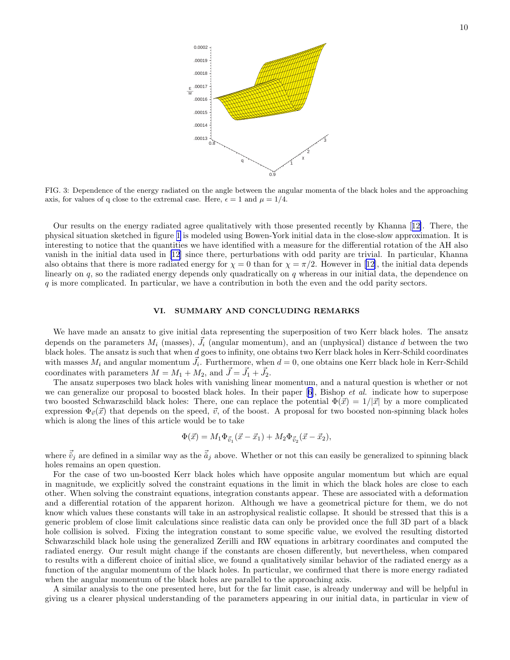10

<span id="page-9-0"></span>

FIG. 3: Dependence of the energy radiated on the angle between the angular momenta of the black holes and the approaching axis, for values of q close to the extremal case. Here,  $\epsilon = 1$  and  $\mu = 1/4$ .

Our results on the energy radiated agree qualitatively with those presented recently by Khanna[[12\]](#page-12-0). There, the physical situation sketched in figure [1](#page-4-0) is modeled using Bowen-York initial data in the close-slow approximation. It is interesting to notice that the quantities we have identified with a measure for the differential rotation of the AH also vanish in the initial data used in [\[12\]](#page-12-0) since there, perturbations with odd parity are trivial. In particular, Khanna alsoobtains that there is more radiated energy for  $\chi = 0$  than for  $\chi = \pi/2$ . However in [[12\]](#page-12-0), the initial data depends linearly on  $q$ , so the radiated energy depends only quadratically on  $q$  whereas in our initial data, the dependence on q is more complicated. In particular, we have a contribution in both the even and the odd parity sectors.

### VI. SUMMARY AND CONCLUDING REMARKS

We have made an ansatz to give initial data representing the superposition of two Kerr black holes. The ansatz depends on the parameters  $M_i$  (masses),  $\vec{J}_i$  (angular momentum), and an (unphysical) distance d between the two black holes. The ansatz is such that when d goes to infinity, one obtains two Kerr black holes in Kerr-Schild coordinates with masses  $M_i$  and angular momentum  $\vec{J}_i$ . Furthermore, when  $d = 0$ , one obtains one Kerr black hole in Kerr-Schild coordinates with parameters  $M = M_1 + M_2$ , and  $\vec{J} = \vec{J}_1 + \vec{J}_2$ .

The ansatz superposes two black holes with vanishing linear momentum, and a natural question is whether or not wecan generalize our proposal to boosted black holes. In their paper [[6](#page-12-0)], Bishop *et al.* indicate how to superpose two boosted Schwarzschild black holes: There, one can replace the potential  $\Phi(\vec{x}) = 1/|\vec{x}|$  by a more complicated expression  $\Phi_{\vec{v}}(\vec{x})$  that depends on the speed,  $\vec{v}$ , of the boost. A proposal for two boosted non-spinning black holes which is along the lines of this article would be to take

$$
\Phi(\vec{x}) = M_1 \Phi_{\vec{v}_1}(\vec{x} - \vec{x}_1) + M_2 \Phi_{\vec{v}_2}(\vec{x} - \vec{x}_2),
$$

where  $\vec{v}_j$  are defined in a similar way as the  $\vec{a}_j$  above. Whether or not this can easily be generalized to spinning black holes remains an open question.

For the case of two un-boosted Kerr black holes which have opposite angular momentum but which are equal in magnitude, we explicitly solved the constraint equations in the limit in which the black holes are close to each other. When solving the constraint equations, integration constants appear. These are associated with a deformation and a differential rotation of the apparent horizon. Although we have a geometrical picture for them, we do not know which values these constants will take in an astrophysical realistic collapse. It should be stressed that this is a generic problem of close limit calculations since realistic data can only be provided once the full 3D part of a black hole collision is solved. Fixing the integration constant to some specific value, we evolved the resulting distorted Schwarzschild black hole using the generalized Zerilli and RW equations in arbitrary coordinates and computed the radiated energy. Our result might change if the constants are chosen differently, but nevertheless, when compared to results with a different choice of initial slice, we found a qualitatively similar behavior of the radiated energy as a function of the angular momentum of the black holes. In particular, we confirmed that there is more energy radiated when the angular momentum of the black holes are parallel to the approaching axis.

A similar analysis to the one presented here, but for the far limit case, is already underway and will be helpful in giving us a clearer physical understanding of the parameters appearing in our initial data, in particular in view of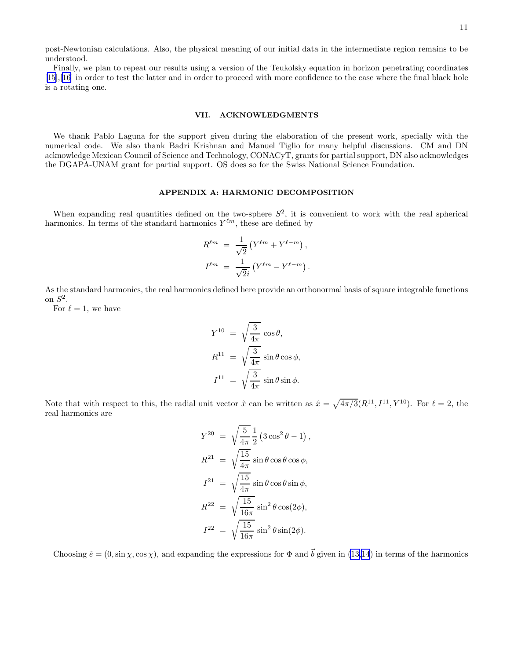<span id="page-10-0"></span>post-Newtonian calculations. Also, the physical meaning of our initial data in the intermediate region remains to be understood.

Finally, we plan to repeat our results using a version of the Teukolsky equation in horizon penetrating coordinates [[15\]](#page-12-0),[[16\]](#page-12-0) in order to test the latter and in order to proceed with more confidence to the case where the final black hole is a rotating one.

#### VII. ACKNOWLEDGMENTS

We thank Pablo Laguna for the support given during the elaboration of the present work, specially with the numerical code. We also thank Badri Krishnan and Manuel Tiglio for many helpful discussions. CM and DN acknowledge Mexican Council of Science and Technology, CONACyT, grants for partial support, DN also acknowledges the DGAPA-UNAM grant for partial support. OS does so for the Swiss National Science Foundation.

# APPENDIX A: HARMONIC DECOMPOSITION

When expanding real quantities defined on the two-sphere  $S^2$ , it is convenient to work with the real spherical harmonics. In terms of the standard harmonics  $Y^{\ell m}$ , these are defined by

$$
R^{\ell m} = \frac{1}{\sqrt{2}} (Y^{\ell m} + Y^{\ell - m}),
$$
  

$$
I^{\ell m} = \frac{1}{\sqrt{2}i} (Y^{\ell m} - Y^{\ell - m}).
$$

As the standard harmonics, the real harmonics defined here provide an orthonormal basis of square integrable functions on  $S^2$ .

For  $\ell = 1$ , we have

$$
Y^{10} = \sqrt{\frac{3}{4\pi}} \cos \theta,
$$
  
\n
$$
R^{11} = \sqrt{\frac{3}{4\pi}} \sin \theta \cos \phi,
$$
  
\n
$$
I^{11} = \sqrt{\frac{3}{4\pi}} \sin \theta \sin \phi.
$$

Note that with respect to this, the radial unit vector  $\hat{x}$  can be written as  $\hat{x} = \sqrt{4\pi/3}(R^{11}, I^{11}, Y^{10})$ . For  $\ell = 2$ , the real harmonics are

$$
Y^{20} = \sqrt{\frac{5}{4\pi}} \frac{1}{2} (3\cos^2\theta - 1),
$$
  
\n
$$
R^{21} = \sqrt{\frac{15}{4\pi}} \sin\theta \cos\theta \cos\phi,
$$
  
\n
$$
I^{21} = \sqrt{\frac{15}{4\pi}} \sin\theta \cos\theta \sin\phi,
$$
  
\n
$$
R^{22} = \sqrt{\frac{15}{16\pi}} \sin^2\theta \cos(2\phi),
$$
  
\n
$$
I^{22} = \sqrt{\frac{15}{16\pi}} \sin^2\theta \sin(2\phi).
$$

Choosing  $\hat{e} = (0, \sin \chi, \cos \chi)$ , and expanding the expressions for  $\Phi$  and  $\vec{b}$  given in [\(13,14](#page-4-0)) in terms of the harmonics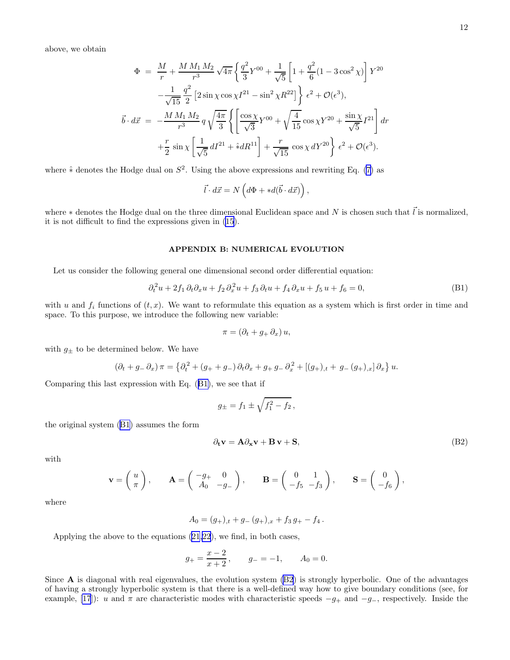<span id="page-11-0"></span>above, we obtain

$$
\Phi = \frac{M}{r} + \frac{M M_1 M_2}{r^3} \sqrt{4\pi} \left\{ \frac{q^2}{3} Y^{00} + \frac{1}{\sqrt{5}} \left[ 1 + \frac{q^2}{6} (1 - 3 \cos^2 \chi) \right] Y^{20} \right. \\
\left. - \frac{1}{\sqrt{15}} \frac{q^2}{2} \left[ 2 \sin \chi \cos \chi I^{21} - \sin^2 \chi R^{22} \right] \right\} \epsilon^2 + \mathcal{O}(\epsilon^3), \\
\vec{b} \cdot d\vec{x} = -\frac{M M_1 M_2}{r^3} q \sqrt{\frac{4\pi}{3}} \left\{ \left[ \frac{\cos \chi}{\sqrt{3}} Y^{00} + \sqrt{\frac{4}{15}} \cos \chi Y^{20} + \frac{\sin \chi}{\sqrt{5}} I^{21} \right] dr \right. \\
\left. + \frac{r}{2} \sin \chi \left[ \frac{1}{\sqrt{5}} dI^{21} + \hat{\ast} dR^{11} \right] + \frac{r}{\sqrt{15}} \cos \chi dY^{20} \right\} \epsilon^2 + \mathcal{O}(\epsilon^3).
$$

where  $\hat{*}$  denotes the Hodge dual on  $S^2$ . Using the above expressions and rewriting Eq. [\(7](#page-2-0)) as

$$
\vec{l} \cdot d\vec{x} = N \left( d\Phi + *d(\vec{b} \cdot d\vec{x}) \right),
$$

where  $*$  denotes the Hodge dual on the three dimensional Euclidean space and N is chosen such that  $\vec{l}$  is normalized, it is not difficult to find the expressions given in([15](#page-5-0)).

#### APPENDIX B: NUMERICAL EVOLUTION

Let us consider the following general one dimensional second order differential equation:

$$
\partial_t^2 u + 2f_1 \partial_t \partial_x u + f_2 \partial_x^2 u + f_3 \partial_t u + f_4 \partial_x u + f_5 u + f_6 = 0,
$$
\n(B1)

with u and  $f_i$  functions of  $(t, x)$ . We want to reformulate this equation as a system which is first order in time and space. To this purpose, we introduce the following new variable:

$$
\pi = (\partial_t + g_+ \partial_x) u,
$$

with  $g_{\pm}$  to be determined below. We have

$$
(\partial_t + g - \partial_x) \pi = \left\{ \partial_t^2 + (g_+ + g_-) \partial_t \partial_x + g_+ g_- \partial_x^2 + [(g_+)_t + g_- (g_+)_x] \partial_x \right\} u.
$$

Comparing this last expression with Eq. (B1), we see that if

$$
g_{\pm} = f_1 \pm \sqrt{f_1^2 - f_2} \,,
$$

the original system (B1) assumes the form

$$
\partial_t \mathbf{v} = \mathbf{A} \partial_{\mathbf{x}} \mathbf{v} + \mathbf{B} \mathbf{v} + \mathbf{S},\tag{B2}
$$

with

$$
\mathbf{v} = \begin{pmatrix} u \\ \pi \end{pmatrix}, \qquad \mathbf{A} = \begin{pmatrix} -g_+ & 0 \\ A_0 & -g_- \end{pmatrix}, \qquad \mathbf{B} = \begin{pmatrix} 0 & 1 \\ -f_5 & -f_3 \end{pmatrix}, \qquad \mathbf{S} = \begin{pmatrix} 0 \\ -f_6 \end{pmatrix},
$$

where

$$
A_0 = (g_+)_t + g_-(g_+)_x + f_3 g_+ - f_4.
$$

Applying the above to the equations [\(21,22](#page-7-0)), we find, in both cases,

$$
g_{+} = \frac{x-2}{x+2}
$$
,  $g_{-} = -1$ ,  $A_{0} = 0$ .

Since  $\bf{A}$  is diagonal with real eigenvalues, the evolution system  $(B2)$  is strongly hyperbolic. One of the advantages of having a strongly hyperbolic system is that there is a well-defined way how to give boundary conditions (see, for example, [\[17](#page-12-0)]): u and  $\pi$  are characteristic modes with characteristic speeds  $-g_+$  and  $-g_-$ , respectively. Inside the